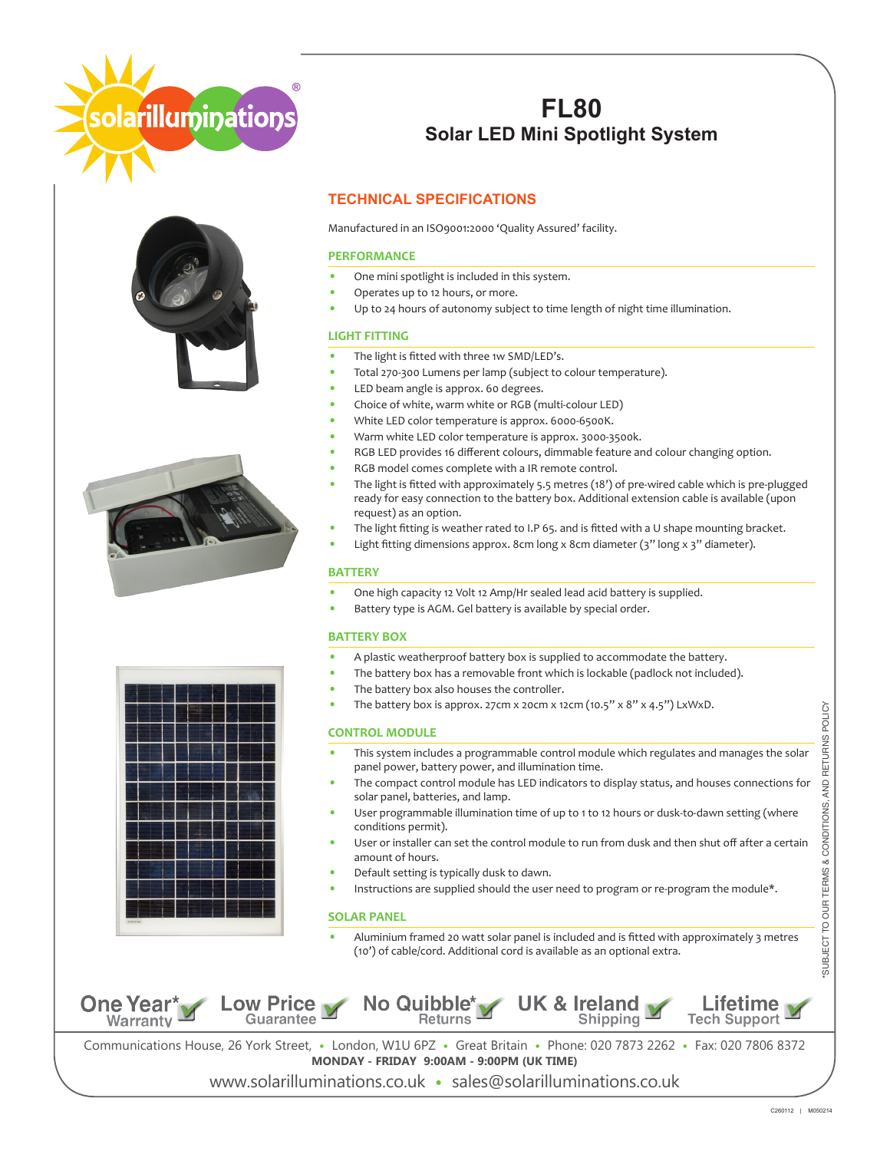





# **FL80 Solar LED Mini Spotlight System**

### **TECHNICAL SPECIFICATIONS**

Manufactured in an ISO9001:2000 'Quality Assured' facility.

### **PERFORMANCE**

- **•** One mini spotlight is included in this system.
- **•** Operates up to 12 hours, or more.
- **•** Up to 24 hours of autonomy subject to time length of night time illumination.

### **LIGHT FITTING**

- **•** The light is fitted with three 1w SMD/LED's.
- **•** Total 270-300 Lumens per lamp (subject to colour temperature).
- **•** LED beam angle is approx. 60 degrees.
- **•** Choice of white, warm white or RGB (multi-colour LED)
- **•** White LED color temperature is approx. 6000-6500K.
- **•** Warm white LED color temperature is approx. 3000-3500k.
- **•** RGB LED provides 16 different colours, dimmable feature and colour changing option.
- **•** RGB model comes complete with a IR remote control.
- **•** The light is fitted with approximately 5.5 metres (18') of pre-wired cable which is pre-plugged ready for easy connection to the battery box. Additional extension cable is available (upon request) as an option.
- **•** The light fitting is weather rated to I.P 65. and is fitted with a U shape mounting bracket.
- **•** Light fitting dimensions approx. 8cm long x 8cm diameter (3" long x 3" diameter).

#### **BATTERY**

- **•** One high capacity 12 Volt 12 Amp/Hr sealed lead acid battery is supplied.
- **•** Battery type is AGM. Gel battery is available by special order.

#### **BATTERY BOX**

- **•** A plastic weatherproof battery box is supplied to accommodate the battery.
- **•** The battery box has a removable front which is lockable (padlock not included).
- **•** The battery box also houses the controller.
- **•** The battery box is approx. 27cm x 20cm x 12cm (10.5" x 8" x 4.5") LxWxD.

#### **CONTROL MODULE**

- **•** This system includes a programmable control module which regulates and manages the solar panel power, battery power, and illumination time.
- **•** The compact control module has LED indicators to display status, and houses connections for solar panel, batteries, and lamp.
- **•** User programmable illumination time of up to 1 to 12 hours or dusk-to-dawn setting (where conditions permit).
- **•** User or installer can set the control module to run from dusk and then shut off after a certain amount of hours.
- **•** Default setting is typically dusk to dawn.
- Instructions are supplied should the user need to program or re-program the module\*.

#### **SOLAR PANEL**

**•** Aluminium framed 20 watt solar panel is included and is fitted with approximately 3 metres (10') of cable/cord. Additional cord is available as an optional extra.



Communications House, 26 York Street, **•** London, W1U 6PZ **•** Great Britain **•** Phone: 020 7873 2262 **•** Fax: 020 7806 8372 **MONDAY - FRIDAY 9:00AM - 9:00PM (UK TIME)**

www.solarilluminations.co.uk **•** sales@solarilluminations.co.uk